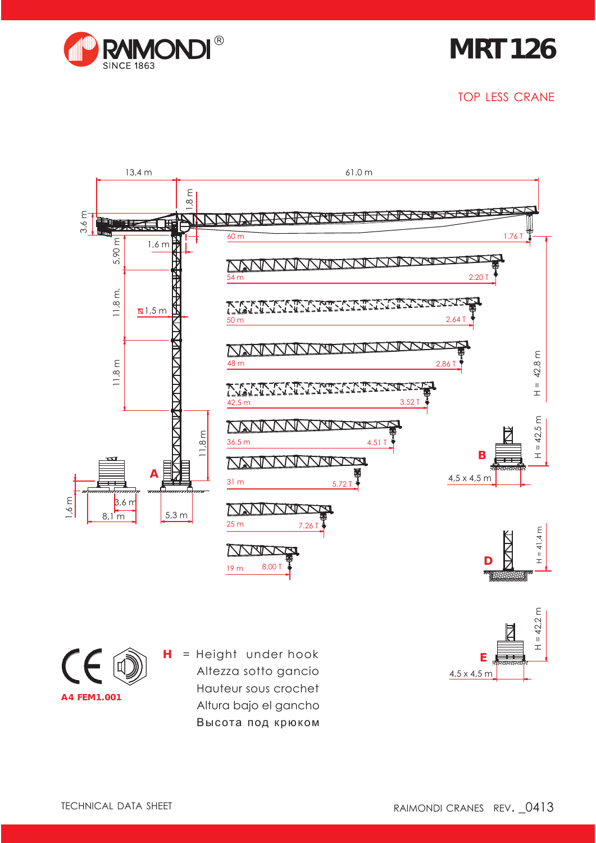

**MRT 126**

TOP LESS CRANE



4,5 x 4,5 m

**A4 FEM1.001**

Altezza sotto gancio Hauteur sous crochet Altura bajo el gancho Высота под крюком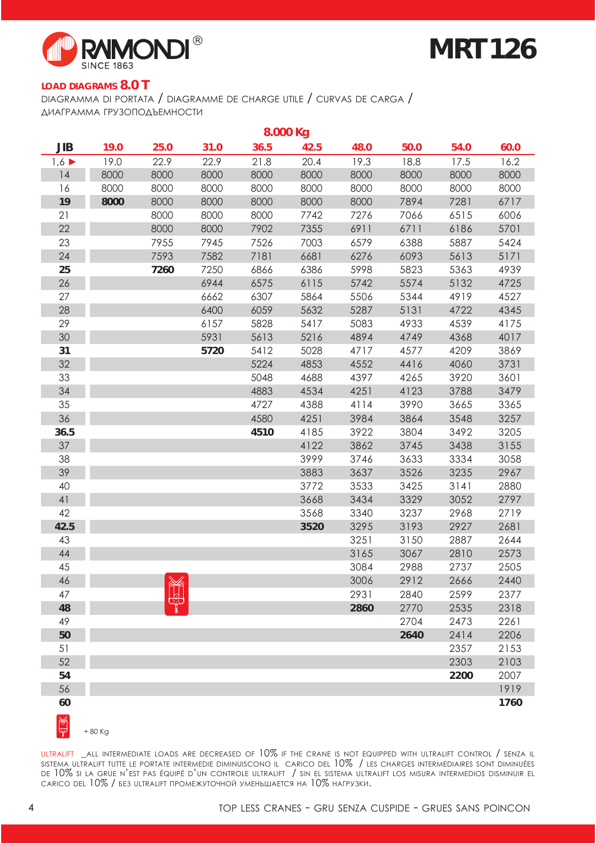

# **MRT 126**

#### **LOAD DIAGRAMS 8.0 T**

DIAGRAMMA DI PORTATA / DIAGRAMME DE CHARGE UTILE / CURVAS DE CARGA / ДИАГРАММА ГРУЗОПОДЪЕМНОСТИ

| 8.000 Kg   |      |      |      |      |      |      |      |      |      |
|------------|------|------|------|------|------|------|------|------|------|
| <b>JIB</b> | 19.0 | 25.0 | 31.0 | 36.5 | 42.5 | 48.0 | 50.0 | 54.0 | 60.0 |
| 1,6        | 19.0 | 22.9 | 22.9 | 21.8 | 20.4 | 19.3 | 18.8 | 17.5 | 16.2 |
| 14         | 8000 | 8000 | 8000 | 8000 | 8000 | 8000 | 8000 | 8000 | 8000 |
| 16         | 8000 | 8000 | 8000 | 8000 | 8000 | 8000 | 8000 | 8000 | 8000 |
| 19         | 8000 | 8000 | 8000 | 8000 | 8000 | 8000 | 7894 | 7281 | 6717 |
| 21         |      | 8000 | 8000 | 8000 | 7742 | 7276 | 7066 | 6515 | 6006 |
| 22         |      | 8000 | 8000 | 7902 | 7355 | 6911 | 6711 | 6186 | 5701 |
| 23         |      | 7955 | 7945 | 7526 | 7003 | 6579 | 6388 | 5887 | 5424 |
| 24         |      | 7593 | 7582 | 7181 | 6681 | 6276 | 6093 | 5613 | 5171 |
| 25         |      | 7260 | 7250 | 6866 | 6386 | 5998 | 5823 | 5363 | 4939 |
| 26         |      |      | 6944 | 6575 | 6115 | 5742 | 5574 | 5132 | 4725 |
| 27         |      |      | 6662 | 6307 | 5864 | 5506 | 5344 | 4919 | 4527 |
| 28         |      |      | 6400 | 6059 | 5632 | 5287 | 5131 | 4722 | 4345 |
| 29         |      |      | 6157 | 5828 | 5417 | 5083 | 4933 | 4539 | 4175 |
| 30         |      |      | 5931 | 5613 | 5216 | 4894 | 4749 | 4368 | 4017 |
| 31         |      |      | 5720 | 5412 | 5028 | 4717 | 4577 | 4209 | 3869 |
| 32         |      |      |      | 5224 | 4853 | 4552 | 4416 | 4060 | 3731 |
| 33         |      |      |      | 5048 | 4688 | 4397 | 4265 | 3920 | 3601 |
| 34         |      |      |      | 4883 | 4534 | 4251 | 4123 | 3788 | 3479 |
| 35         |      |      |      | 4727 | 4388 | 4114 | 3990 | 3665 | 3365 |
| 36         |      |      |      | 4580 | 4251 | 3984 | 3864 | 3548 | 3257 |
| 36.5       |      |      |      | 4510 | 4185 | 3922 | 3804 | 3492 | 3205 |
| 37         |      |      |      |      | 4122 | 3862 | 3745 | 3438 | 3155 |
| 38         |      |      |      |      | 3999 | 3746 | 3633 | 3334 | 3058 |
| 39         |      |      |      |      | 3883 | 3637 | 3526 | 3235 | 2967 |
| 40         |      |      |      |      | 3772 | 3533 | 3425 | 3141 | 2880 |
| 41         |      |      |      |      | 3668 | 3434 | 3329 | 3052 | 2797 |
| 42         |      |      |      |      | 3568 | 3340 | 3237 | 2968 | 2719 |
| 42.5       |      |      |      |      | 3520 | 3295 | 3193 | 2927 | 2681 |
| 43         |      |      |      |      |      | 3251 | 3150 | 2887 | 2644 |
| 44         |      |      |      |      |      | 3165 | 3067 | 2810 | 2573 |
| 45         |      |      |      |      |      | 3084 | 2988 | 2737 | 2505 |
| 46         |      |      |      |      |      | 3006 | 2912 | 2666 | 2440 |
| 47         |      | 26   |      |      |      | 2931 | 2840 | 2599 | 2377 |
| 48         |      |      |      |      |      | 2860 | 2770 | 2535 | 2318 |
| 49         |      |      |      |      |      |      | 2704 | 2473 | 2261 |
| 50         |      |      |      |      |      |      | 2640 | 2414 | 2206 |
| 51         |      |      |      |      |      |      |      | 2357 | 2153 |
| 52         |      |      |      |      |      |      |      | 2303 | 2103 |
| 54         |      |      |      |      |      |      |      | 2200 | 2007 |
| 56         |      |      |      |      |      |      |      |      | 1919 |
| 60         |      |      |      |      |      |      |      |      | 1760 |
| ₩          |      |      |      |      |      |      |      |      |      |

 $\mathbb{F}$ + 80 Kg

ULTRALIFT \_ALL INTERMEDIATE LOADS ARE DECREASED OF 10% IF THE CRANE IS NOT EQUIPPED WITH ULTRALIFT CONTROL / SENZA IL SISTEMA ULTRALIFT TUTTE LE PORTATE INTERMEDIE DIMINUISCONO IL CARICO DEL 10% / LES CHARGES INTERMEDIAIRES SONT DIMINUÉES DE 10% SI LA GRUE N'EST PAS ÉQUIPÉ D'UN CONTROLE ULTRALIFT / SIN EL SISTEMA ULTRALIFT LOS MISURA INTERMEDIOS DISMINUIR EL CARICO DEL 10% / БЕЗ ULTRALIFT ПРОМЕЖУТОЧНОЙ УМЕНЬШАЕТСЯ НА 10% НАГРУЗКИ.